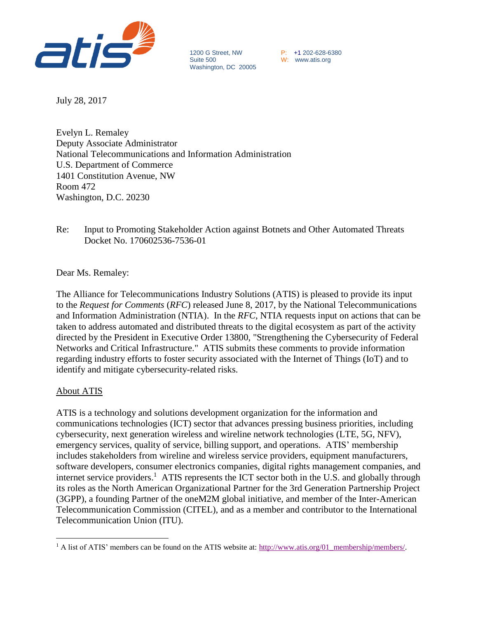

1200 G Street, NW <br>
Suite 500 <br>
W: www.atis.org Washington, DC 20005

W: www.atis.org

July 28, 2017

Evelyn L. Remaley Deputy Associate Administrator National Telecommunications and Information Administration U.S. Department of Commerce 1401 Constitution Avenue, NW Room 472 Washington, D.C. 20230

Re: Input to Promoting Stakeholder Action against Botnets and Other Automated Threats Docket No. 170602536-7536-01

Dear Ms. Remaley:

The Alliance for Telecommunications Industry Solutions (ATIS) is pleased to provide its input to the *Request for Comments* (*RFC*) released June 8, 2017, by the National Telecommunications and Information Administration (NTIA). In the *RFC*, NTIA requests input on actions that can be taken to address automated and distributed threats to the digital ecosystem as part of the activity directed by the President in Executive Order 13800, "Strengthening the Cybersecurity of Federal Networks and Critical Infrastructure." ATIS submits these comments to provide information regarding industry efforts to foster security associated with the Internet of Things (IoT) and to identify and mitigate cybersecurity-related risks.

## About ATIS

 $\overline{a}$ 

ATIS is a technology and solutions development organization for the information and communications technologies (ICT) sector that advances pressing business priorities, including cybersecurity, next generation wireless and wireline network technologies (LTE, 5G, NFV), emergency services, quality of service, billing support, and operations. ATIS' membership includes stakeholders from wireline and wireless service providers, equipment manufacturers, software developers, consumer electronics companies, digital rights management companies, and internet service providers.<sup>1</sup> ATIS represents the ICT sector both in the U.S. and globally through its roles as the North American Organizational Partner for the 3rd Generation Partnership Project (3GPP), a founding Partner of the oneM2M global initiative, and member of the Inter-American Telecommunication Commission (CITEL), and as a member and contributor to the International Telecommunication Union (ITU).

<sup>&</sup>lt;sup>1</sup> A list of ATIS' members can be found on the ATIS website at: [http://www.atis.org/01\\_membership/members/.](http://www.atis.org/01_membership/members/)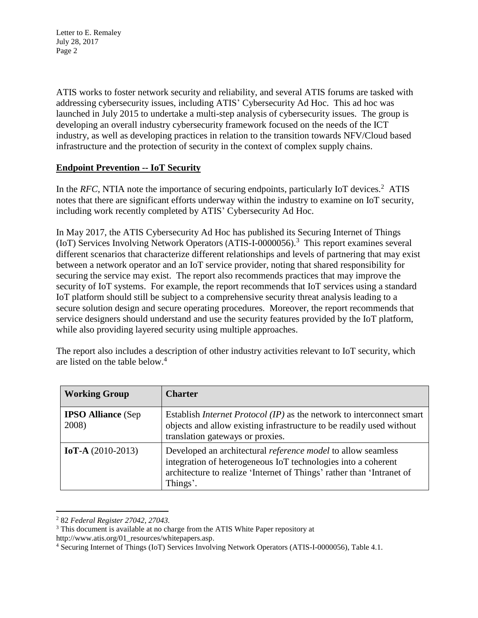Letter to E. Remaley July 28, 2017 Page 2

ATIS works to foster network security and reliability, and several ATIS forums are tasked with addressing cybersecurity issues, including ATIS' Cybersecurity Ad Hoc. This ad hoc was launched in July 2015 to undertake a multi-step analysis of cybersecurity issues. The group is developing an overall industry cybersecurity framework focused on the needs of the ICT industry, as well as developing practices in relation to the transition towards NFV/Cloud based infrastructure and the protection of security in the context of complex supply chains.

## **Endpoint Prevention -- IoT Security**

In the *RFC*, NTIA note the importance of securing endpoints, particularly IoT devices.<sup>2</sup> ATIS notes that there are significant efforts underway within the industry to examine on IoT security, including work recently completed by ATIS' Cybersecurity Ad Hoc.

In May 2017, the ATIS Cybersecurity Ad Hoc has published its Securing Internet of Things (IoT) Services Involving Network Operators (ATIS-I-0000056). 3 This report examines several different scenarios that characterize different relationships and levels of partnering that may exist between a network operator and an IoT service provider, noting that shared responsibility for securing the service may exist. The report also recommends practices that may improve the security of IoT systems. For example, the report recommends that IoT services using a standard IoT platform should still be subject to a comprehensive security threat analysis leading to a secure solution design and secure operating procedures. Moreover, the report recommends that service designers should understand and use the security features provided by the IoT platform, while also providing layered security using multiple approaches.

| <b>Working Group</b>               | <b>Charter</b>                                                                                                                                                                                                |
|------------------------------------|---------------------------------------------------------------------------------------------------------------------------------------------------------------------------------------------------------------|
| <b>IPSO Alliance</b> (Sep<br>2008) | Establish <i>Internet Protocol</i> ( <i>IP</i> ) as the network to interconnect smart<br>objects and allow existing infrastructure to be readily used without<br>translation gateways or proxies.             |
| IoT-A $(2010-2013)$                | Developed an architectural <i>reference model</i> to allow seamless<br>integration of heterogeneous IoT technologies into a coherent<br>architecture to realize 'Internet of Things' rather than 'Intranet of |

The report also includes a description of other industry activities relevant to IoT security, which are listed on the table below. 4

 $\overline{a}$ 

Things'.

<sup>2</sup> 82 *Federal Register 27042, 27043.*

<sup>&</sup>lt;sup>3</sup> This document is available at no charge from the ATIS White Paper repository at

http://www.atis.org/01\_resources/whitepapers.asp.

<sup>4</sup> Securing Internet of Things (IoT) Services Involving Network Operators (ATIS-I-0000056), Table 4.1.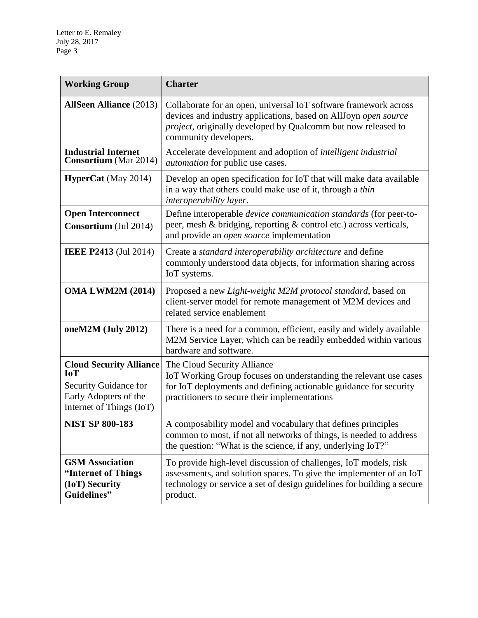| <b>Working Group</b>                                                                                                       | <b>Charter</b>                                                                                                                                                                                                                |
|----------------------------------------------------------------------------------------------------------------------------|-------------------------------------------------------------------------------------------------------------------------------------------------------------------------------------------------------------------------------|
| <b>AllSeen Alliance</b> (2013)                                                                                             | Collaborate for an open, universal IoT software framework across<br>devices and industry applications, based on AllJoyn open source<br>project, originally developed by Qualcomm but now released to<br>community developers. |
| <b>Industrial Internet</b><br><b>Consortium</b> (Mar 2014)                                                                 | Accelerate development and adoption of <i>intelligent industrial</i><br><i>automation</i> for public use cases.                                                                                                               |
| <b>HyperCat</b> (May 2014)                                                                                                 | Develop an open specification for IoT that will make data available<br>in a way that others could make use of it, through a thin<br>interoperability layer.                                                                   |
| <b>Open Interconnect</b><br><b>Consortium</b> (Jul 2014)                                                                   | Define interoperable <i>device communication standards</i> (for peer-to-<br>peer, mesh & bridging, reporting & control etc.) across verticals,<br>and provide an <i>open source</i> implementation                            |
| <b>IEEE P2413</b> (Jul 2014)                                                                                               | Create a standard interoperability architecture and define<br>commonly understood data objects, for information sharing across<br>IoT systems.                                                                                |
| <b>OMA LWM2M (2014)</b>                                                                                                    | Proposed a new Light-weight M2M protocol standard, based on<br>client-server model for remote management of M2M devices and<br>related service enablement                                                                     |
| oneM2M $(July 2012)$                                                                                                       | There is a need for a common, efficient, easily and widely available<br>M2M Service Layer, which can be readily embedded within various<br>hardware and software.                                                             |
| <b>Cloud Security Alliance</b><br><b>IoT</b><br>Security Guidance for<br>Early Adopters of the<br>Internet of Things (IoT) | The Cloud Security Alliance<br>IoT Working Group focuses on understanding the relevant use cases<br>for IoT deployments and defining actionable guidance for security<br>practitioners to secure their implementations        |
| <b>NIST SP 800-183</b>                                                                                                     | A composability model and vocabulary that defines principles<br>common to most, if not all networks of things, is needed to address<br>the question: "What is the science, if any, underlying IoT?"                           |
| <b>GSM Association</b><br>"Internet of Things<br>(IoT) Security<br>Guidelines"                                             | To provide high-level discussion of challenges, IoT models, risk<br>assessments, and solution spaces. To give the implementer of an IoT<br>technology or service a set of design guidelines for building a secure<br>product. |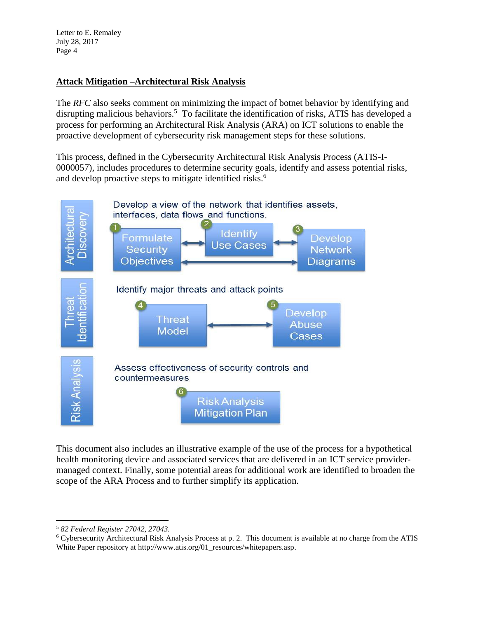Letter to E. Remaley July 28, 2017 Page 4

## **Attack Mitigation –Architectural Risk Analysis**

The *RFC* also seeks comment on minimizing the impact of botnet behavior by identifying and disrupting malicious behaviors.<sup>5</sup> To facilitate the identification of risks, ATIS has developed a process for performing an Architectural Risk Analysis (ARA) on ICT solutions to enable the proactive development of cybersecurity risk management steps for these solutions.

This process, defined in the Cybersecurity Architectural Risk Analysis Process (ATIS-I-0000057), includes procedures to determine security goals, identify and assess potential risks, and develop proactive steps to mitigate identified risks.<sup>6</sup>



This document also includes an illustrative example of the use of the process for a hypothetical health monitoring device and associated services that are delivered in an ICT service providermanaged context. Finally, some potential areas for additional work are identified to broaden the scope of the ARA Process and to further simplify its application.

 $\overline{\phantom{a}}$ 

<sup>5</sup> *82 Federal Register 27042, 27043.*

<sup>6</sup> Cybersecurity Architectural Risk Analysis Process at p. 2. This document is available at no charge from the ATIS White Paper repository at http://www.atis.org/01\_resources/whitepapers.asp.